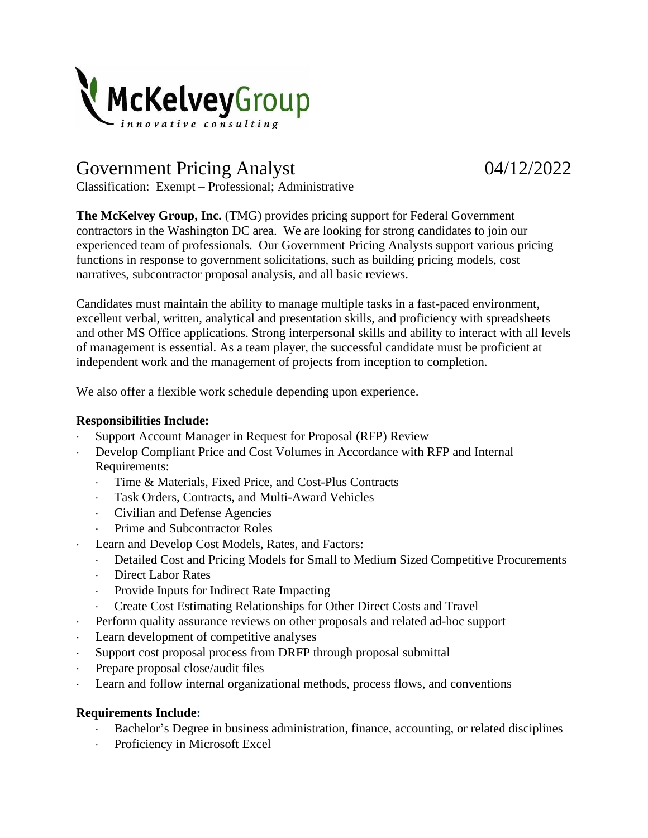

# Government Pricing Analyst 04/12/2022

Classification: Exempt – Professional; Administrative

**The McKelvey Group, Inc.** (TMG) provides pricing support for Federal Government contractors in the Washington DC area. We are looking for strong candidates to join our experienced team of professionals. Our Government Pricing Analysts support various pricing functions in response to government solicitations, such as building pricing models, cost narratives, subcontractor proposal analysis, and all basic reviews.

Candidates must maintain the ability to manage multiple tasks in a fast-paced environment, excellent verbal, written, analytical and presentation skills, and proficiency with spreadsheets and other MS Office applications. Strong interpersonal skills and ability to interact with all levels of management is essential. As a team player, the successful candidate must be proficient at independent work and the management of projects from inception to completion.

We also offer a flexible work schedule depending upon experience.

## **Responsibilities Include:**

- Support Account Manager in Request for Proposal (RFP) Review
- Develop Compliant Price and Cost Volumes in Accordance with RFP and Internal Requirements:
	- Time & Materials, Fixed Price, and Cost-Plus Contracts
	- Task Orders, Contracts, and Multi-Award Vehicles
	- Civilian and Defense Agencies
	- Prime and Subcontractor Roles
- Learn and Develop Cost Models, Rates, and Factors:
	- Detailed Cost and Pricing Models for Small to Medium Sized Competitive Procurements
	- Direct Labor Rates
	- Provide Inputs for Indirect Rate Impacting
	- Create Cost Estimating Relationships for Other Direct Costs and Travel
- Perform quality assurance reviews on other proposals and related ad-hoc support
- Learn development of competitive analyses
- Support cost proposal process from DRFP through proposal submittal
- Prepare proposal close/audit files
- Learn and follow internal organizational methods, process flows, and conventions

# **Requirements Include:**

- Bachelor's Degree in business administration, finance, accounting, or related disciplines
- Proficiency in Microsoft Excel